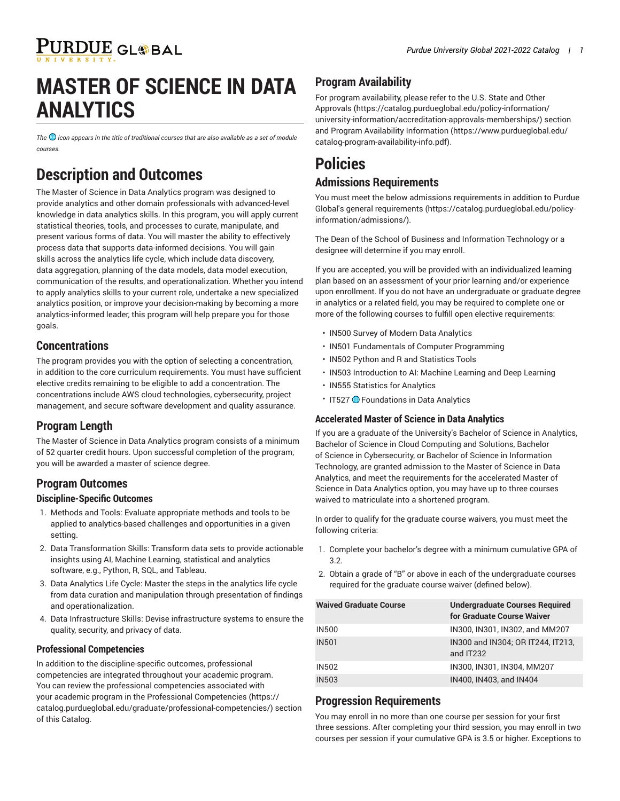# **MASTER OF SCIENCE IN DATA ANALYTICS**

<span id="page-0-0"></span>*The icon appears in the title of traditional courses that are also available as a set of module courses.* 

## **Description and Outcomes**

The Master of Science in Data Analytics program was designed to provide analytics and other domain professionals with advanced-level knowledge in data analytics skills. In this program, you will apply current statistical theories, tools, and processes to curate, manipulate, and present various forms of data. You will master the ability to effectively process data that supports data-informed decisions. You will gain skills across the analytics life cycle, which include data discovery, data aggregation, planning of the data models, data model execution, communication of the results, and operationalization. Whether you intend to apply analytics skills to your current role, undertake a new specialized analytics position, or improve your decision-making by becoming a more analytics-informed leader, this program will help prepare you for those goals.

## **Concentrations**

The program provides you with the option of selecting a concentration, in addition to the core curriculum requirements. You must have sufficient elective credits remaining to be eligible to add a concentration. The concentrations include AWS cloud technologies, cybersecurity, project management, and secure software development and quality assurance.

## **Program Length**

The Master of Science in Data Analytics program consists of a minimum of 52 quarter credit hours. Upon successful completion of the program, you will be awarded a master of science degree.

## **Program Outcomes**

#### **Discipline-Specific Outcomes**

- 1. Methods and Tools: Evaluate appropriate methods and tools to be applied to analytics-based challenges and opportunities in a given setting.
- 2. Data Transformation Skills: Transform data sets to provide actionable insights using AI, Machine Learning, statistical and analytics software, e.g., Python, R, SQL, and Tableau.
- 3. Data Analytics Life Cycle: Master the steps in the analytics life cycle from data curation and manipulation through presentation of findings and operationalization.
- 4. Data Infrastructure Skills: Devise infrastructure systems to ensure the quality, security, and privacy of data.

#### **Professional Competencies**

In addition to the discipline-specific outcomes, professional competencies are integrated throughout your academic program. You can review the professional competencies associated with your academic program in the Professional [Competencies \(https://](https://catalog.purdueglobal.edu/graduate/professional-competencies/) [catalog.purdueglobal.edu/graduate/professional-competencies/](https://catalog.purdueglobal.edu/graduate/professional-competencies/)) section of this Catalog.

## **Program Availability**

For program availability, please refer to the [U.S. State and Other](https://catalog.purdueglobal.edu/policy-information/university-information/accreditation-approvals-memberships/) [Approvals](https://catalog.purdueglobal.edu/policy-information/university-information/accreditation-approvals-memberships/) ([https://catalog.purdueglobal.edu/policy-information/](https://catalog.purdueglobal.edu/policy-information/university-information/accreditation-approvals-memberships/) [university-information/accreditation-approvals-memberships/](https://catalog.purdueglobal.edu/policy-information/university-information/accreditation-approvals-memberships/)) section and Program Availability [Information](https://www.purdueglobal.edu/catalog-program-availability-info.pdf) ([https://www.purdueglobal.edu/](https://www.purdueglobal.edu/catalog-program-availability-info.pdf) [catalog-program-availability-info.pdf\)](https://www.purdueglobal.edu/catalog-program-availability-info.pdf).

# **Policies**

## **Admissions Requirements**

You must meet the below admissions requirements in addition to Purdue Global's general [requirements](https://catalog.purdueglobal.edu/policy-information/admissions/) ([https://catalog.purdueglobal.edu/policy](https://catalog.purdueglobal.edu/policy-information/admissions/)[information/admissions/](https://catalog.purdueglobal.edu/policy-information/admissions/)).

The Dean of the School of Business and Information Technology or a designee will determine if you may enroll.

If you are accepted, you will be provided with an individualized learning plan based on an assessment of your prior learning and/or experience upon enrollment. If you do not have an undergraduate or graduate degree in analytics or a related field, you may be required to complete one or more of the following courses to fulfill open elective requirements:

- IN500 Survey of Modern Data Analytics
- IN501 Fundamentals of Computer Programming
- IN502 Python and R and Statistics Tools
- IN503 Introduction to AI: Machine Learning and Deep Learning
- IN555 Statistics for Analytics
- IT527 **· Foundations in Data Analytics**

#### **Accelerated Master of Science in Data Analytics**

If you are a graduate of the University's Bachelor of Science in Analytics, Bachelor of Science in Cloud Computing and Solutions, Bachelor of Science in Cybersecurity, or Bachelor of Science in Information Technology, are granted admission to the Master of Science in Data Analytics, and meet the requirements for the accelerated Master of Science in Data Analytics option, you may have up to three courses waived to matriculate into a shortened program.

In order to qualify for the graduate course waivers, you must meet the following criteria:

- 1. Complete your bachelor's degree with a minimum cumulative GPA of 3.2.
- 2. Obtain a grade of "B" or above in each of the undergraduate courses required for the graduate course waiver (defined below).

| <b>Waived Graduate Course</b> | <b>Undergraduate Courses Required</b><br>for Graduate Course Waiver |
|-------------------------------|---------------------------------------------------------------------|
| <b>IN500</b>                  | IN300, IN301, IN302, and MM207                                      |
| <b>IN501</b>                  | IN300 and IN304; OR IT244, IT213,<br>and IT232                      |
| <b>IN502</b>                  | IN300, IN301, IN304, MM207                                          |
| <b>IN503</b>                  | IN400, IN403, and IN404                                             |

### **Progression Requirements**

You may enroll in no more than one course per session for your first three sessions. After completing your third session, you may enroll in two courses per session if your cumulative GPA is 3.5 or higher. Exceptions to